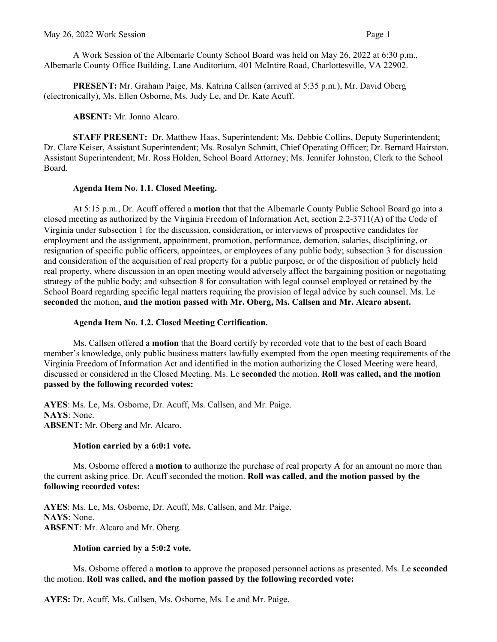A Work Session of the Albemarle County School Board was held on May 26, 2022 at 6:30 p.m., Albemarle County Office Building, Lane Auditorium, 401 McIntire Road, Charlottesville, VA 22902.

**PRESENT:** Mr. Graham Paige, Ms. Katrina Callsen (arrived at 5:35 p.m.), Mr. David Oberg (electronically), Ms. Ellen Osborne, Ms. Judy Le, and Dr. Kate Acuff.

**ABSENT:** Mr. Jonno Alcaro.

**STAFF PRESENT:** Dr. Matthew Haas, Superintendent; Ms. Debbie Collins, Deputy Superintendent; Dr. Clare Keiser, Assistant Superintendent; Ms. Rosalyn Schmitt, Chief Operating Officer; Dr. Bernard Hairston, Assistant Superintendent; Mr. Ross Holden, School Board Attorney; Ms. Jennifer Johnston, Clerk to the School Board.

## **Agenda Item No. 1.1. Closed Meeting.**

At 5:15 p.m., Dr. Acuff offered a **motion** that that the Albemarle County Public School Board go into a closed meeting as authorized by the Virginia Freedom of Information Act, section 2.2-3711(A) of the Code of Virginia under subsection 1 for the discussion, consideration, or interviews of prospective candidates for employment and the assignment, appointment, promotion, performance, demotion, salaries, disciplining, or resignation of specific public officers, appointees, or employees of any public body; subsection 3 for discussion and consideration of the acquisition of real property for a public purpose, or of the disposition of publicly held real property, where discussion in an open meeting would adversely affect the bargaining position or negotiating strategy of the public body; and subsection 8 for consultation with legal counsel employed or retained by the School Board regarding specific legal matters requiring the provision of legal advice by such counsel. Ms. Le **seconded** the motion, **and the motion passed with Mr. Oberg, Ms. Callsen and Mr. Alcaro absent.** 

## **Agenda Item No. 1.2. Closed Meeting Certification.**

Ms. Callsen offered a **motion** that the Board certify by recorded vote that to the best of each Board member's knowledge, only public business matters lawfully exempted from the open meeting requirements of the Virginia Freedom of Information Act and identified in the motion authorizing the Closed Meeting were heard, discussed or considered in the Closed Meeting. Ms. Le **seconded** the motion. **Roll was called, and the motion passed by the following recorded votes:**

**AYES**: Ms. Le, Ms. Osborne, Dr. Acuff, Ms. Callsen, and Mr. Paige. **NAYS**: None. **ABSENT:** Mr. Oberg and Mr. Alcaro.

# **Motion carried by a 6:0:1 vote.**

Ms. Osborne offered a **motion** to authorize the purchase of real property A for an amount no more than the current asking price. Dr. Acuff seconded the motion. **Roll was called, and the motion passed by the following recorded votes:**

**AYES**: Ms. Le, Ms. Osborne, Dr. Acuff, Ms. Callsen, and Mr. Paige. **NAYS**: None. **ABSENT**: Mr. Alcaro and Mr. Oberg.

# **Motion carried by a 5:0:2 vote.**

Ms. Osborne offered a **motion** to approve the proposed personnel actions as presented. Ms. Le **seconded**  the motion. **Roll was called, and the motion passed by the following recorded vote:**

**AYES:** Dr. Acuff, Ms. Callsen, Ms. Osborne, Ms. Le and Mr. Paige.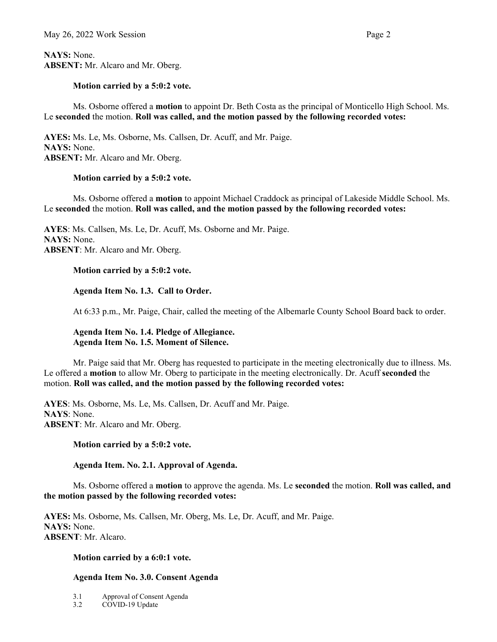**NAYS:** None. **ABSENT:** Mr. Alcaro and Mr. Oberg.

### **Motion carried by a 5:0:2 vote.**

Ms. Osborne offered a **motion** to appoint Dr. Beth Costa as the principal of Monticello High School. Ms. Le **seconded** the motion. **Roll was called, and the motion passed by the following recorded votes:**

**AYES:** Ms. Le, Ms. Osborne, Ms. Callsen, Dr. Acuff, and Mr. Paige. **NAYS:** None. **ABSENT:** Mr. Alcaro and Mr. Oberg.

### **Motion carried by a 5:0:2 vote.**

Ms. Osborne offered a **motion** to appoint Michael Craddock as principal of Lakeside Middle School. Ms. Le **seconded** the motion. **Roll was called, and the motion passed by the following recorded votes:**

**AYES**: Ms. Callsen, Ms. Le, Dr. Acuff, Ms. Osborne and Mr. Paige. **NAYS:** None. **ABSENT**: Mr. Alcaro and Mr. Oberg.

### **Motion carried by a 5:0:2 vote.**

**Agenda Item No. 1.3. Call to Order.**

At 6:33 p.m., Mr. Paige, Chair, called the meeting of the Albemarle County School Board back to order.

**Agenda Item No. 1.4. Pledge of Allegiance. Agenda Item No. 1.5. Moment of Silence.** 

Mr. Paige said that Mr. Oberg has requested to participate in the meeting electronically due to illness. Ms. Le offered a **motion** to allow Mr. Oberg to participate in the meeting electronically. Dr. Acuff **seconded** the motion. **Roll was called, and the motion passed by the following recorded votes:**

**AYES**: Ms. Osborne, Ms. Le, Ms. Callsen, Dr. Acuff and Mr. Paige. **NAYS**: None. **ABSENT**: Mr. Alcaro and Mr. Oberg.

#### **Motion carried by a 5:0:2 vote.**

#### **Agenda Item. No. 2.1. Approval of Agenda.**

Ms. Osborne offered a **motion** to approve the agenda. Ms. Le **seconded** the motion. **Roll was called, and the motion passed by the following recorded votes:** 

**AYES:** Ms. Osborne, Ms. Callsen, Mr. Oberg, Ms. Le, Dr. Acuff, and Mr. Paige. **NAYS:** None. **ABSENT**: Mr. Alcaro.

#### **Motion carried by a 6:0:1 vote.**

### **Agenda Item No. 3.0. Consent Agenda**

- 3.1 Approval of Consent Agenda
- 3.2 COVID-19 Update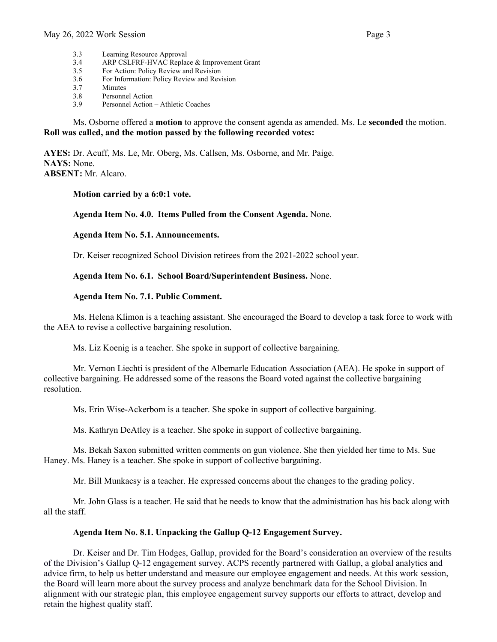- 3.3 Learning Resource Approval
- 3.4 ARP CSLFRF-HVAC Replace & Improvement Grant
- 3.5 For Action: Policy Review and Revision<br>3.6 For Information: Policy Review and Revi
- 3.6 For Information: Policy Review and Revision
- 3.7 Minutes
- 3.8 Personnel Action
- 3.9 Personnel Action Athletic Coaches

Ms. Osborne offered a **motion** to approve the consent agenda as amended. Ms. Le **seconded** the motion. **Roll was called, and the motion passed by the following recorded votes:**

**AYES:** Dr. Acuff, Ms. Le, Mr. Oberg, Ms. Callsen, Ms. Osborne, and Mr. Paige. **NAYS:** None. **ABSENT:** Mr. Alcaro.

**Motion carried by a 6:0:1 vote.** 

### **Agenda Item No. 4.0. Items Pulled from the Consent Agenda.** None.

**Agenda Item No. 5.1. Announcements.**

Dr. Keiser recognized School Division retirees from the 2021-2022 school year.

**Agenda Item No. 6.1. School Board/Superintendent Business.** None.

### **Agenda Item No. 7.1. Public Comment.**

Ms. Helena Klimon is a teaching assistant. She encouraged the Board to develop a task force to work with the AEA to revise a collective bargaining resolution.

Ms. Liz Koenig is a teacher. She spoke in support of collective bargaining.

Mr. Vernon Liechti is president of the Albemarle Education Association (AEA). He spoke in support of collective bargaining. He addressed some of the reasons the Board voted against the collective bargaining resolution.

Ms. Erin Wise-Ackerbom is a teacher. She spoke in support of collective bargaining.

Ms. Kathryn DeAtley is a teacher. She spoke in support of collective bargaining.

Ms. Bekah Saxon submitted written comments on gun violence. She then yielded her time to Ms. Sue Haney. Ms. Haney is a teacher. She spoke in support of collective bargaining.

Mr. Bill Munkacsy is a teacher. He expressed concerns about the changes to the grading policy.

Mr. John Glass is a teacher. He said that he needs to know that the administration has his back along with all the staff.

### **Agenda Item No. 8.1. Unpacking the Gallup Q-12 Engagement Survey.**

Dr. Keiser and Dr. Tim Hodges, Gallup, provided for the Board's consideration an overview of the results of the Division's Gallup Q-12 engagement survey. ACPS recently partnered with Gallup, a global analytics and advice firm, to help us better understand and measure our employee engagement and needs. At this work session, the Board will learn more about the survey process and analyze benchmark data for the School Division. In alignment with our strategic plan, this employee engagement survey supports our efforts to attract, develop and retain the highest quality staff.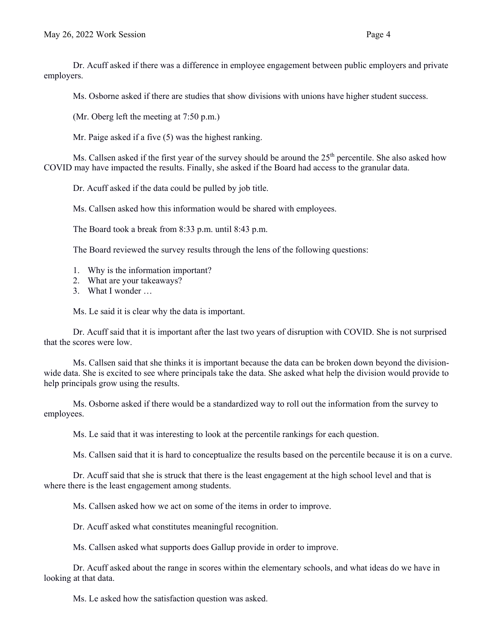Dr. Acuff asked if there was a difference in employee engagement between public employers and private employers.

Ms. Osborne asked if there are studies that show divisions with unions have higher student success.

(Mr. Oberg left the meeting at 7:50 p.m.)

Mr. Paige asked if a five (5) was the highest ranking.

Ms. Callsen asked if the first year of the survey should be around the  $25<sup>th</sup>$  percentile. She also asked how COVID may have impacted the results. Finally, she asked if the Board had access to the granular data.

Dr. Acuff asked if the data could be pulled by job title.

Ms. Callsen asked how this information would be shared with employees.

The Board took a break from 8:33 p.m. until 8:43 p.m.

The Board reviewed the survey results through the lens of the following questions:

- 1. Why is the information important?
- 2. What are your takeaways?
- 3. What I wonder …

Ms. Le said it is clear why the data is important.

Dr. Acuff said that it is important after the last two years of disruption with COVID. She is not surprised that the scores were low.

Ms. Callsen said that she thinks it is important because the data can be broken down beyond the divisionwide data. She is excited to see where principals take the data. She asked what help the division would provide to help principals grow using the results.

Ms. Osborne asked if there would be a standardized way to roll out the information from the survey to employees.

Ms. Le said that it was interesting to look at the percentile rankings for each question.

Ms. Callsen said that it is hard to conceptualize the results based on the percentile because it is on a curve.

Dr. Acuff said that she is struck that there is the least engagement at the high school level and that is where there is the least engagement among students.

Ms. Callsen asked how we act on some of the items in order to improve.

Dr. Acuff asked what constitutes meaningful recognition.

Ms. Callsen asked what supports does Gallup provide in order to improve.

Dr. Acuff asked about the range in scores within the elementary schools, and what ideas do we have in looking at that data.

Ms. Le asked how the satisfaction question was asked.